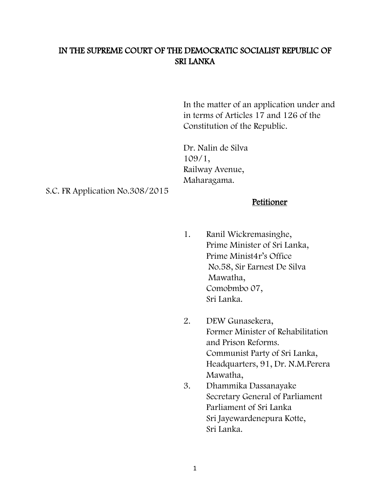# IN THE SUPREME COURT OF THE DEMOCRATIC SOCIALIST REPUBLIC OF SRI LANKA

In the matter of an application under and in terms of Articles 17 and 126 of the Constitution of the Republic.

Dr. Nalin de Silva 109/1, Railway Avenue, Maharagama.

S.C. FR Application No.308/2015

#### Petitioner

- 1. Ranil Wickremasinghe, Prime Minister of Sri Lanka, Prime Minist4r's Office No.58, Sir Earnest De Silva Mawatha, Comobmbo 07, Sri Lanka.
- 2. DEW Gunasekera, Former Minister of Rehabilitation and Prison Reforms. Communist Party of Sri Lanka, Headquarters, 91, Dr. N.M.Perera Mawatha,
- 3. Dhammika Dassanayake Secretary General of Parliament Parliament of Sri Lanka Sri Jayewardenepura Kotte, Sri Lanka.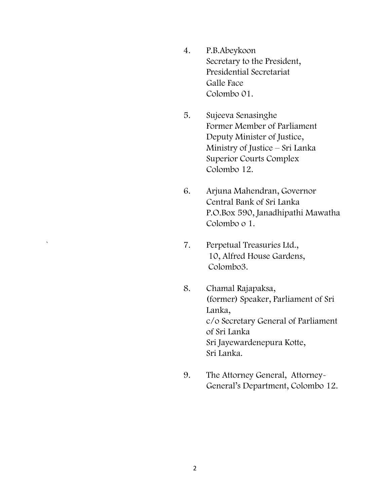- 4. P.B.Abeykoon Secretary to the President, Presidential Secretariat Galle Face Colombo 01.
- 5. Sujeeva Senasinghe Former Member of Parliament Deputy Minister of Justice, Ministry of Justice – Sri Lanka Superior Courts Complex Colombo 12.
- 6. Arjuna Mahendran, Governor Central Bank of Sri Lanka P.O.Box 590, Janadhipathi Mawatha Colombo o 1.
- 7. Perpetual Treasuries Ltd., 10, Alfred House Garden s, Colombo3 .
- 8. Chamal Rajapaksa, (former) Speaker, Parliament of Sri Lanka, c/o Secretary General of Parliament of Sri Lanka Sri Jayewardenepura Kotte, Sri Lanka.
- 9. The Attorney General, Attorney General's Department, Colombo 12.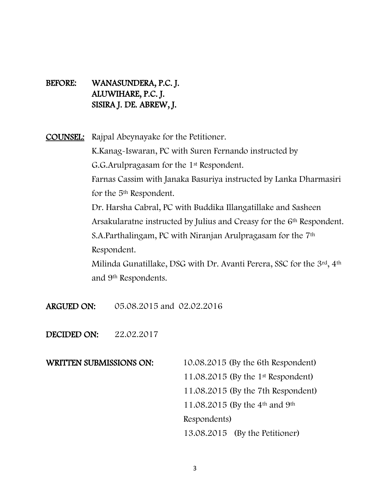## BEFORE: WANASUNDERA, P.C. J. ALUWIHARE, P.C. J. SISIRA J. DE. ABREW, J.

COUNSEL: Rajpal Abeynayake for the Petitioner. K.Kanag-Iswaran, PC with Suren Fernando instructed by G.G.Arulpragasam for the 1st Respondent. Farnas Cassim with Janaka Basuriya instructed by Lanka Dharmasiri for the 5th Respondent. Dr. Harsha Cabral, PC with Buddika Illangatillake and Sasheen Arsakularatne instructed by Julius and Creasy for the 6<sup>th</sup> Respondent. S.A.Parthalingam, PC with Niranjan Arulpragasam for the 7<sup>th</sup> Respondent. Milinda Gunatillake, DSG with Dr. Avanti Perera, SSC for the 3rd, 4th and 9th Respondents.

- ARGUED ON: 05.08.2015 and 02.02.2016
- DECIDED ON: 22.02.2017

WRITTEN SUBMISSIONS ON: 10.08.2015 (By the 6th Respondent) 11.08.2015 (By the 1st Respondent) 11.08.2015 (By the 7th Respondent) 11.08.2015 (By the 4th and 9th Respondents) 13.08.2015 (By the Petitioner)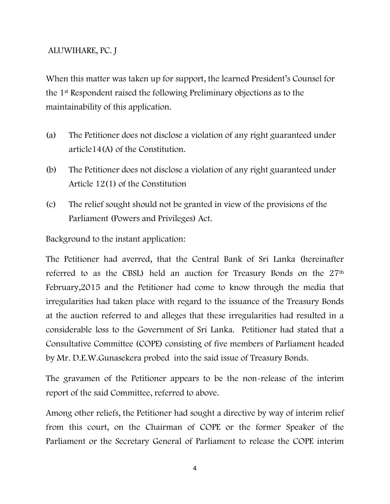#### ALUWIHARE, PC. J

When this matter was taken up for support, the learned President's Counsel for the 1st Respondent raised the following Preliminary objections as to the maintainability of this application.

- (a) The Petitioner does not disclose a violation of any right guaranteed under article14(A) of the Constitution.
- (b) The Petitioner does not disclose a violation of any right guaranteed under Article 12(1) of the Constitution
- (c) The relief sought should not be granted in view of the provisions of the Parliament (Powers and Privileges) Act.

Background to the instant application:

The Petitioner had averred, that the Central Bank of Sri Lanka (hereinafter referred to as the CBSL) held an auction for Treasury Bonds on the 27<sup>th</sup> February,2015 and the Petitioner had come to know through the media that irregularities had taken place with regard to the issuance of the Treasury Bonds at the auction referred to and alleges that these irregularities had resulted in a considerable loss to the Government of Sri Lanka. Petitioner had stated that a Consultative Committee (COPE) consisting of five members of Parliament headed by Mr. D.E.W.Gunasekera probed into the said issue of Treasury Bonds.

The gravamen of the Petitioner appears to be the non-release of the interim report of the said Committee, referred to above.

Among other reliefs, the Petitioner had sought a directive by way of interim relief from this court, on the Chairman of COPE or the former Speaker of the Parliament or the Secretary General of Parliament to release the COPE interim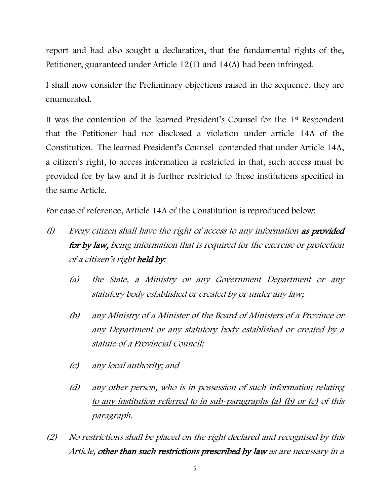report and had also sought a declaration, that the fundamental rights of the, Petitioner, guaranteed under Article 12(1) and 14(A) had been infringed.

I shall now consider the Preliminary objections raised in the sequence, they are enumerated.

It was the contention of the learned President's Counsel for the 1st Respondent that the Petitioner had not disclosed a violation under article 14A of the Constitution. The learned President's Counsel contended that under Article 14A, a citizen's right, to access information is restricted in that, such access must be provided for by law and it is further restricted to those institutions specified in the same Article.

For ease of reference, Article 14A of the Constitution is reproduced below:

- (l) Every citizen shall have the right of access to any information as provided for by law, being information that is required for the exercise or protection of a citizen's right held by:
	- (a) the State, a Ministry or any Government Department or any statutory body established or created by or under any law;
	- (b) any Ministry of a Minister of the Board of Ministers of a Province or any Department or any statutory body established or created by a statute of a Provincial Council;
	- (c) any local authority; and
	- (d) any other person, who is in possession of such information relating to any institution referred to in sub-paragraphs (a) (b) or (c) of this paragraph.
- (2) No restrictions shall be placed on the right declared and recognised by this Article, other than such restrictions prescribed by law as are necessary in a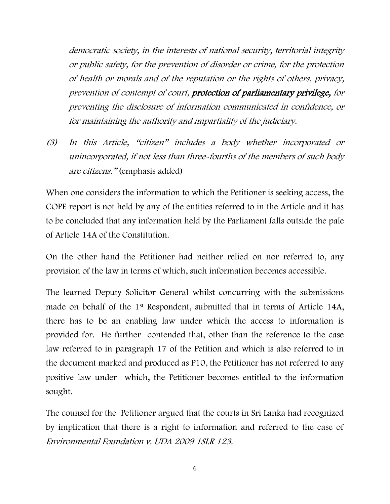democratic society, in the interests of national security, territorial integrity or public safety, for the prevention of disorder or crime, for the protection of health or morals and of the reputation or the rights of others, privacy, prevention of contempt of court, protection of parliamentary privilege, for preventing the disclosure of information communicated in confidence, or for maintaining the authority and impartiality of the judiciary.

(3) In this Article, "citizen" includes a body whether incorporated or unincorporated, if not less than three-fourths of the members of such body are citizens." (emphasis added)

When one considers the information to which the Petitioner is seeking access, the COPE report is not held by any of the entities referred to in the Article and it has to be concluded that any information held by the Parliament falls outside the pale of Article 14A of the Constitution.

On the other hand the Petitioner had neither relied on nor referred to, any provision of the law in terms of which, such information becomes accessible.

The learned Deputy Solicitor General whilst concurring with the submissions made on behalf of the 1st Respondent, submitted that in terms of Article 14A, there has to be an enabling law under which the access to information is provided for. He further contended that, other than the reference to the case law referred to in paragraph 17 of the Petition and which is also referred to in the document marked and produced as P10, the Petitioner has not referred to any positive law under which, the Petitioner becomes entitled to the information sought.

The counsel for the Petitioner argued that the courts in Sri Lanka had recognized by implication that there is a right to information and referred to the case of Environmental Foundation v. UDA 2009 1SLR 123.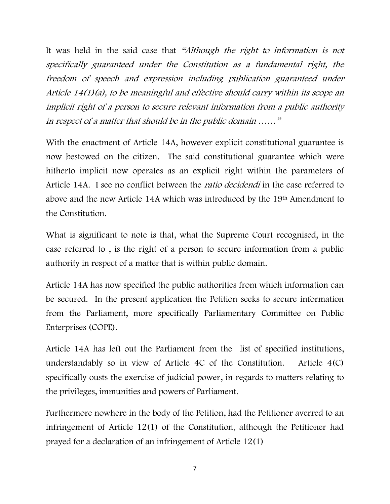It was held in the said case that "Although the right to information is not specifically guaranteed under the Constitution as a fundamental right, the freedom of speech and expression including publication guaranteed under Article 14(1)(a), to be meaningful and effective should carry within its scope an implicit right of a person to secure relevant information from a public authority in respect of a matter that should be in the public domain ……"

With the enactment of Article 14A, however explicit constitutional guarantee is now bestowed on the citizen. The said constitutional guarantee which were hitherto implicit now operates as an explicit right within the parameters of Article 14A. I see no conflict between the *ratio decidendi* in the case referred to above and the new Article 14A which was introduced by the 19th Amendment to the Constitution.

What is significant to note is that, what the Supreme Court recognised, in the case referred to , is the right of a person to secure information from a public authority in respect of a matter that is within public domain.

Article 14A has now specified the public authorities from which information can be secured. In the present application the Petition seeks to secure information from the Parliament, more specifically Parliamentary Committee on Public Enterprises (COPE).

Article 14A has left out the Parliament from the list of specified institutions, understandably so in view of Article 4C of the Constitution. Article 4(C) specifically ousts the exercise of judicial power, in regards to matters relating to the privileges, immunities and powers of Parliament.

Furthermore nowhere in the body of the Petition, had the Petitioner averred to an infringement of Article 12(1) of the Constitution, although the Petitioner had prayed for a declaration of an infringement of Article 12(1)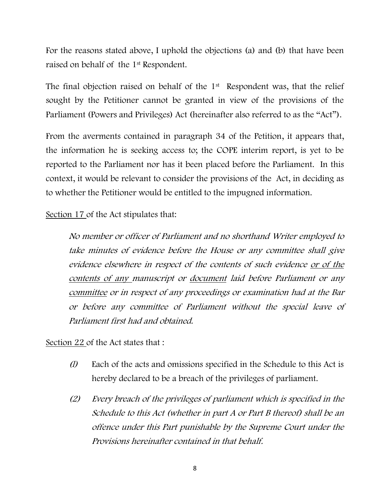For the reasons stated above, I uphold the objections (a) and (b) that have been raised on behalf of the 1st Respondent.

The final objection raised on behalf of the 1<sup>st</sup> Respondent was, that the relief sought by the Petitioner cannot be granted in view of the provisions of the Parliament (Powers and Privileges) Act (hereinafter also referred to as the "Act").

From the averments contained in paragraph 34 of the Petition, it appears that, the information he is seeking access to; the COPE interim report, is yet to be reported to the Parliament nor has it been placed before the Parliament. In this context, it would be relevant to consider the provisions of the Act, in deciding as to whether the Petitioner would be entitled to the impugned information.

Section 17 of the Act stipulates that:

No member or officer of Parliament and no shorthand Writer employed to take minutes of evidence before the House or any committee shall give evidence elsewhere in respect of the contents of such evidence or of the contents of any manuscript or document laid before Parliament or any committee or in respect of any proceedings or examination had at the Bar or before any committee of Parliament without the special leave of Parliament first had and obtained.

Section 22 of the Act states that :

- ( $\theta$ ) Each of the acts and omissions specified in the Schedule to this Act is hereby declared to be a breach of the privileges of parliament.
- (2) Every breach of the privileges of parliament which is specified in the Schedule to this Act (whether in part A or Part B thereof) shall be an offence under this Part punishable by the Supreme Court under the Provisions hereinafter contained in that behalf.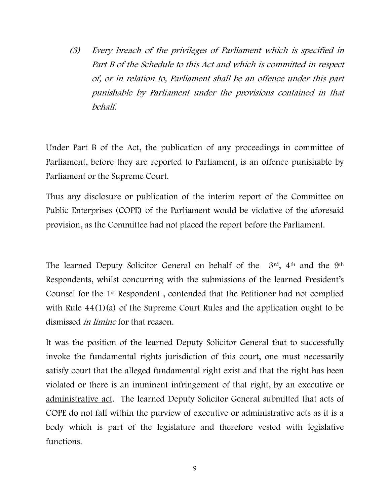(3) Every breach of the privileges of Parliament which is specified in Part B of the Schedule to this Act and which is committed in respect of, or in relation to, Parliament shall be an offence under this part punishable by Parliament under the provisions contained in that behalf.

Under Part B of the Act, the publication of any proceedings in committee of Parliament, before they are reported to Parliament, is an offence punishable by Parliament or the Supreme Court.

Thus any disclosure or publication of the interim report of the Committee on Public Enterprises (COPE) of the Parliament would be violative of the aforesaid provision, as the Committee had not placed the report before the Parliament.

The learned Deputy Solicitor General on behalf of the  $3^{rd}$ , 4<sup>th</sup> and the 9<sup>th</sup> Respondents, whilst concurring with the submissions of the learned President's Counsel for the 1st Respondent , contended that the Petitioner had not complied with Rule  $44(1)(a)$  of the Supreme Court Rules and the application ought to be dismissed *in limine* for that reason.

It was the position of the learned Deputy Solicitor General that to successfully invoke the fundamental rights jurisdiction of this court, one must necessarily satisfy court that the alleged fundamental right exist and that the right has been violated or there is an imminent infringement of that right, by an executive or administrative act. The learned Deputy Solicitor General submitted that acts of COPE do not fall within the purview of executive or administrative acts as it is a body which is part of the legislature and therefore vested with legislative functions.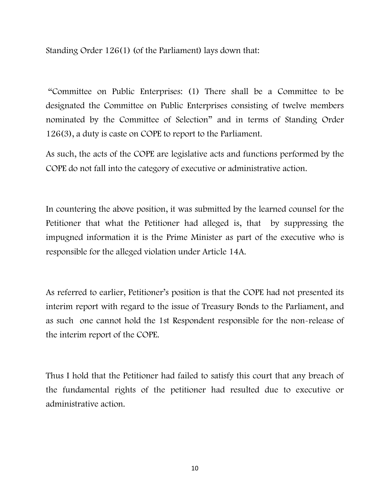Standing Order 126(1) (of the Parliament) lays down that:

"Committee on Public Enterprises: (1) There shall be a Committee to be designated the Committee on Public Enterprises consisting of twelve members nominated by the Committee of Selection" and in terms of Standing Order 126(3), a duty is caste on COPE to report to the Parliament.

As such, the acts of the COPE are legislative acts and functions performed by the COPE do not fall into the category of executive or administrative action.

In countering the above position, it was submitted by the learned counsel for the Petitioner that what the Petitioner had alleged is, that by suppressing the impugned information it is the Prime Minister as part of the executive who is responsible for the alleged violation under Article 14A.

As referred to earlier, Petitioner's position is that the COPE had not presented its interim report with regard to the issue of Treasury Bonds to the Parliament, and as such one cannot hold the 1st Respondent responsible for the non-release of the interim report of the COPE.

Thus I hold that the Petitioner had failed to satisfy this court that any breach of the fundamental rights of the petitioner had resulted due to executive or administrative action.